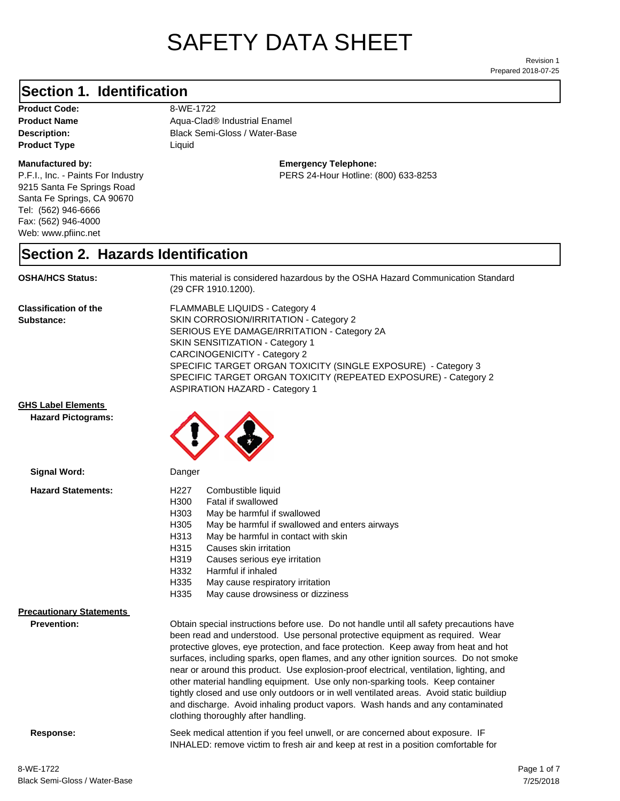# SAFETY DATA SHEET

Prepared 2018-07-25 Revision 1

#### **Section 1. Identification**

**Product Code:** 8-WE-1722 **Product Type Liquid Liquid** 

#### **Manufactured by:**

P.F.I., Inc. - Paints For Industry 9215 Santa Fe Springs Road Santa Fe Springs, CA 90670 Tel: (562) 946-6666 Fax: (562) 946-4000 Web: www.pfiinc.net

**Description:** Black Semi-Gloss / Water-Base **Product Name** Aqua-Clad<sup>®</sup> Industrial Enamel

**Emergency Telephone:**

PERS 24-Hour Hotline: (800) 633-8253

#### **Section 2. Hazards Identification**

**OSHA/HCS Status:** This material is considered hazardous by the OSHA Hazard Communication Standard (29 CFR 1910.1200).

**Classification of the Substance:**

FLAMMABLE LIQUIDS - Category 4 SKIN CORROSION/IRRITATION - Category 2 SERIOUS EYE DAMAGE/IRRITATION - Category 2A SKIN SENSITIZATION - Category 1 CARCINOGENICITY - Category 2 SPECIFIC TARGET ORGAN TOXICITY (SINGLE EXPOSURE) - Category 3 SPECIFIC TARGET ORGAN TOXICITY (REPEATED EXPOSURE) - Category 2 ASPIRATION HAZARD - Category 1

and discharge. Avoid inhaling product vapors. Wash hands and any contaminated

INHALED: remove victim to fresh air and keep at rest in a position comfortable for

**GHS Label Elements**

**Hazard Pictograms:**



| Signal Word:                    | Danger                                                                                  |                                                                                         |
|---------------------------------|-----------------------------------------------------------------------------------------|-----------------------------------------------------------------------------------------|
| <b>Hazard Statements:</b>       | H227                                                                                    | Combustible liquid                                                                      |
|                                 | H300                                                                                    | Fatal if swallowed                                                                      |
|                                 | H303                                                                                    | May be harmful if swallowed                                                             |
|                                 | H305                                                                                    | May be harmful if swallowed and enters airways                                          |
|                                 | H313                                                                                    | May be harmful in contact with skin                                                     |
|                                 | H315                                                                                    | Causes skin irritation                                                                  |
|                                 | H319                                                                                    | Causes serious eye irritation                                                           |
|                                 | H332                                                                                    | Harmful if inhaled                                                                      |
|                                 | H335                                                                                    | May cause respiratory irritation                                                        |
|                                 | H335                                                                                    | May cause drowsiness or dizziness                                                       |
| <b>Precautionary Statements</b> |                                                                                         |                                                                                         |
| <b>Prevention:</b>              |                                                                                         | Obtain special instructions before use. Do not handle until all safety precautions have |
|                                 | been read and understood. Use personal protective equipment as required. Wear           |                                                                                         |
|                                 | protective gloves, eye protection, and face protection. Keep away from heat and hot     |                                                                                         |
|                                 | surfaces, including sparks, open flames, and any other ignition sources. Do not smoke   |                                                                                         |
|                                 | near or around this product. Use explosion-proof electrical, ventilation, lighting, and |                                                                                         |
|                                 |                                                                                         | other material handling equipment. Use only non-sparking tools. Keep container          |
|                                 |                                                                                         | tightly closed and use only outdoors or in well ventilated areas. Avoid static buildiup |

clothing thoroughly after handling.

**Response:** Seek medical attention if you feel unwell, or are concerned about exposure. IF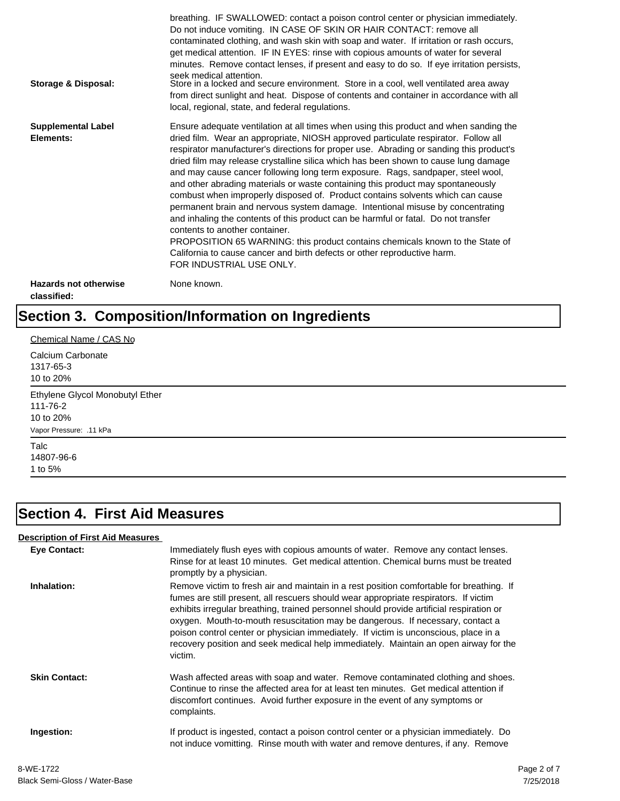| Storage & Disposal:                         | breathing. IF SWALLOWED: contact a poison control center or physician immediately.<br>Do not induce vomiting. IN CASE OF SKIN OR HAIR CONTACT: remove all<br>contaminated clothing, and wash skin with soap and water. If irritation or rash occurs,<br>get medical attention. IF IN EYES: rinse with copious amounts of water for several<br>minutes. Remove contact lenses, if present and easy to do so. If eye irritation persists,<br>seek medical attention.<br>Store in a locked and secure environment. Store in a cool, well ventilated area away<br>from direct sunlight and heat. Dispose of contents and container in accordance with all<br>local, regional, state, and federal regulations.                                                                                                                                                                                                                                                                                                                |
|---------------------------------------------|--------------------------------------------------------------------------------------------------------------------------------------------------------------------------------------------------------------------------------------------------------------------------------------------------------------------------------------------------------------------------------------------------------------------------------------------------------------------------------------------------------------------------------------------------------------------------------------------------------------------------------------------------------------------------------------------------------------------------------------------------------------------------------------------------------------------------------------------------------------------------------------------------------------------------------------------------------------------------------------------------------------------------|
| <b>Supplemental Label</b><br>Elements:      | Ensure adequate ventilation at all times when using this product and when sanding the<br>dried film. Wear an appropriate, NIOSH approved particulate respirator. Follow all<br>respirator manufacturer's directions for proper use. Abrading or sanding this product's<br>dried film may release crystalline silica which has been shown to cause lung damage<br>and may cause cancer following long term exposure. Rags, sandpaper, steel wool,<br>and other abrading materials or waste containing this product may spontaneously<br>combust when improperly disposed of. Product contains solvents which can cause<br>permanent brain and nervous system damage. Intentional misuse by concentrating<br>and inhaling the contents of this product can be harmful or fatal. Do not transfer<br>contents to another container.<br>PROPOSITION 65 WARNING: this product contains chemicals known to the State of<br>California to cause cancer and birth defects or other reproductive harm.<br>FOR INDUSTRIAL USE ONLY. |
| <b>Hazards not otherwise</b><br>classified: | None known.                                                                                                                                                                                                                                                                                                                                                                                                                                                                                                                                                                                                                                                                                                                                                                                                                                                                                                                                                                                                              |

#### **Section 3. Composition/Information on Ingredients**

| Chemical Name / CAS No                                                              |  |
|-------------------------------------------------------------------------------------|--|
| Calcium Carbonate<br>1317-65-3<br>10 to 20%                                         |  |
| Ethylene Glycol Monobutyl Ether<br>111-76-2<br>10 to 20%<br>Vapor Pressure: .11 kPa |  |
| Talc<br>14807-96-6<br>1 to 5%                                                       |  |

#### **Section 4. First Aid Measures**

#### **Eye Contact:** Immediately flush eyes with copious amounts of water. Remove any contact lenses. Rinse for at least 10 minutes. Get medical attention. Chemical burns must be treated promptly by a physician. **Inhalation:** Remove victim to fresh air and maintain in a rest position comfortable for breathing. If fumes are still present, all rescuers should wear appropriate respirators. If victim exhibits irregular breathing, trained personnel should provide artificial respiration or oxygen. Mouth-to-mouth resuscitation may be dangerous. If necessary, contact a poison control center or physician immediately. If victim is unconscious, place in a recovery position and seek medical help immediately. Maintain an open airway for the victim. **Skin Contact:** Wash affected areas with soap and water. Remove contaminated clothing and shoes. Continue to rinse the affected area for at least ten minutes. Get medical attention if discomfort continues. Avoid further exposure in the event of any symptoms or complaints. **Ingestion:** If product is ingested, contact a poison control center or a physician immediately. Do not induce vomitting. Rinse mouth with water and remove dentures, if any. Remove **Description of First Aid Measures**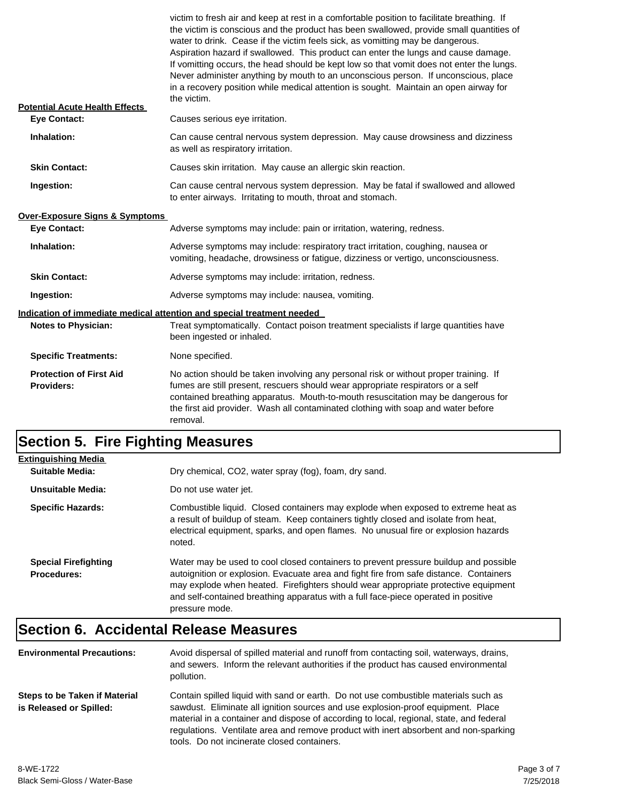| <b>Potential Acute Health Effects</b>        | victim to fresh air and keep at rest in a comfortable position to facilitate breathing. If<br>the victim is conscious and the product has been swallowed, provide small quantities of<br>water to drink. Cease if the victim feels sick, as vomitting may be dangerous.<br>Aspiration hazard if swallowed. This product can enter the lungs and cause damage.<br>If vomitting occurs, the head should be kept low so that vomit does not enter the lungs.<br>Never administer anything by mouth to an unconscious person. If unconscious, place<br>in a recovery position while medical attention is sought. Maintain an open airway for<br>the victim. |
|----------------------------------------------|---------------------------------------------------------------------------------------------------------------------------------------------------------------------------------------------------------------------------------------------------------------------------------------------------------------------------------------------------------------------------------------------------------------------------------------------------------------------------------------------------------------------------------------------------------------------------------------------------------------------------------------------------------|
| <b>Eye Contact:</b>                          | Causes serious eye irritation.                                                                                                                                                                                                                                                                                                                                                                                                                                                                                                                                                                                                                          |
| Inhalation:                                  | Can cause central nervous system depression. May cause drowsiness and dizziness<br>as well as respiratory irritation.                                                                                                                                                                                                                                                                                                                                                                                                                                                                                                                                   |
| <b>Skin Contact:</b>                         | Causes skin irritation. May cause an allergic skin reaction.                                                                                                                                                                                                                                                                                                                                                                                                                                                                                                                                                                                            |
| Ingestion:                                   | Can cause central nervous system depression. May be fatal if swallowed and allowed<br>to enter airways. Irritating to mouth, throat and stomach.                                                                                                                                                                                                                                                                                                                                                                                                                                                                                                        |
| <b>Over-Exposure Signs &amp; Symptoms</b>    |                                                                                                                                                                                                                                                                                                                                                                                                                                                                                                                                                                                                                                                         |
| <b>Eye Contact:</b>                          | Adverse symptoms may include: pain or irritation, watering, redness.                                                                                                                                                                                                                                                                                                                                                                                                                                                                                                                                                                                    |
| Inhalation:                                  | Adverse symptoms may include: respiratory tract irritation, coughing, nausea or<br>vomiting, headache, drowsiness or fatigue, dizziness or vertigo, unconsciousness.                                                                                                                                                                                                                                                                                                                                                                                                                                                                                    |
| <b>Skin Contact:</b>                         | Adverse symptoms may include: irritation, redness.                                                                                                                                                                                                                                                                                                                                                                                                                                                                                                                                                                                                      |
| Ingestion:                                   | Adverse symptoms may include: nausea, vomiting.                                                                                                                                                                                                                                                                                                                                                                                                                                                                                                                                                                                                         |
| <b>Notes to Physician:</b>                   | Indication of immediate medical attention and special treatment needed<br>Treat symptomatically. Contact poison treatment specialists if large quantities have<br>been ingested or inhaled.                                                                                                                                                                                                                                                                                                                                                                                                                                                             |
| <b>Specific Treatments:</b>                  | None specified.                                                                                                                                                                                                                                                                                                                                                                                                                                                                                                                                                                                                                                         |
| <b>Protection of First Aid</b><br>Providers: | No action should be taken involving any personal risk or without proper training. If<br>fumes are still present, rescuers should wear appropriate respirators or a self<br>contained breathing apparatus. Mouth-to-mouth resuscitation may be dangerous for<br>the first aid provider. Wash all contaminated clothing with soap and water before<br>removal.                                                                                                                                                                                                                                                                                            |

# **Section 5. Fire Fighting Measures**

| <b>Extinguishing Media</b>                        |                                                                                                                                                                                                                                                                                                                                                                              |
|---------------------------------------------------|------------------------------------------------------------------------------------------------------------------------------------------------------------------------------------------------------------------------------------------------------------------------------------------------------------------------------------------------------------------------------|
| Suitable Media:                                   | Dry chemical, CO2, water spray (fog), foam, dry sand.                                                                                                                                                                                                                                                                                                                        |
| Unsuitable Media:                                 | Do not use water jet.                                                                                                                                                                                                                                                                                                                                                        |
| <b>Specific Hazards:</b>                          | Combustible liquid. Closed containers may explode when exposed to extreme heat as<br>a result of buildup of steam. Keep containers tightly closed and isolate from heat,<br>electrical equipment, sparks, and open flames. No unusual fire or explosion hazards<br>noted.                                                                                                    |
| <b>Special Firefighting</b><br><b>Procedures:</b> | Water may be used to cool closed containers to prevent pressure buildup and possible<br>autoignition or explosion. Evacuate area and fight fire from safe distance. Containers<br>may explode when heated. Firefighters should wear appropriate protective equipment<br>and self-contained breathing apparatus with a full face-piece operated in positive<br>pressure mode. |

# **Section 6. Accidental Release Measures**

| <b>Environmental Precautions:</b>                               | Avoid dispersal of spilled material and runoff from contacting soil, waterways, drains,<br>and sewers. Inform the relevant authorities if the product has caused environmental<br>pollution.                                                                                                                                                                                                              |
|-----------------------------------------------------------------|-----------------------------------------------------------------------------------------------------------------------------------------------------------------------------------------------------------------------------------------------------------------------------------------------------------------------------------------------------------------------------------------------------------|
| <b>Steps to be Taken if Material</b><br>is Released or Spilled: | Contain spilled liquid with sand or earth. Do not use combustible materials such as<br>sawdust. Eliminate all ignition sources and use explosion-proof equipment. Place<br>material in a container and dispose of according to local, regional, state, and federal<br>regulations. Ventilate area and remove product with inert absorbent and non-sparking<br>tools. Do not incinerate closed containers. |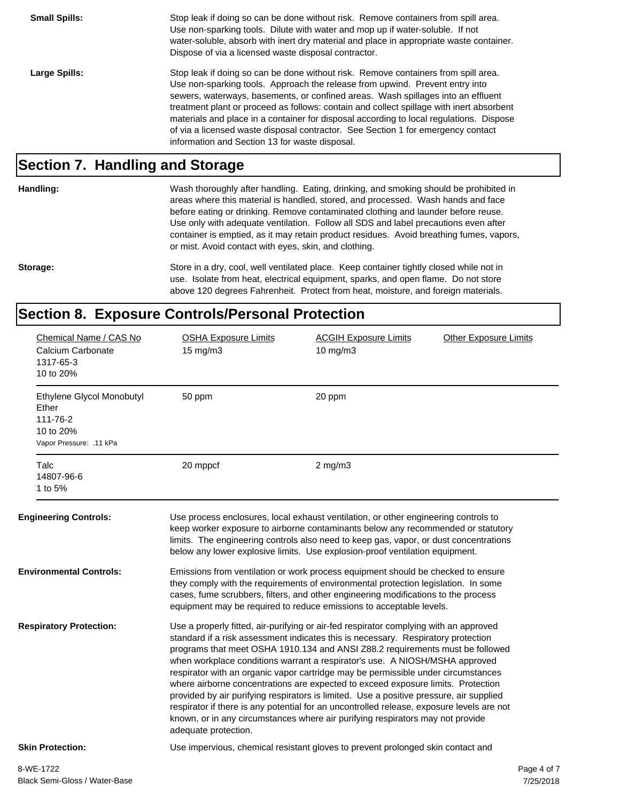**Small Spills:** Stop leak if doing so can be done without risk. Remove containers from spill area. Use non-sparking tools. Dilute with water and mop up if water-soluble. If not water-soluble, absorb with inert dry material and place in appropriate waste container. Dispose of via a licensed waste disposal contractor. Large Spills: Stop leak if doing so can be done without risk. Remove containers from spill area. Use non-sparking tools. Approach the release from upwind. Prevent entry into sewers, waterways, basements, or confined areas. Wash spillages into an effluent treatment plant or proceed as follows: contain and collect spillage with inert absorbent materials and place in a container for disposal according to local regulations. Dispose of via a licensed waste disposal contractor. See Section 1 for emergency contact information and Section 13 for waste disposal.

#### **Section 7. Handling and Storage**

**Handling:** Wash thoroughly after handling. Eating, drinking, and smoking should be prohibited in areas where this material is handled, stored, and processed. Wash hands and face before eating or drinking. Remove contaminated clothing and launder before reuse. Use only with adequate ventilation. Follow all SDS and label precautions even after container is emptied, as it may retain product residues. Avoid breathing fumes, vapors, or mist. Avoid contact with eyes, skin, and clothing.

Storage: Store in a dry, cool, well ventilated place. Keep container tightly closed while not in use. Isolate from heat, electrical equipment, sparks, and open flame. Do not store above 120 degrees Fahrenheit. Protect from heat, moisture, and foreign materials.

#### **Section 8. Exposure Controls/Personal Protection**

| Chemical Name / CAS No<br>Calcium Carbonate<br>1317-65-3<br>10 to 20%                  | <b>OSHA Exposure Limits</b><br>$15 \text{ mg/m}$ | <b>ACGIH Exposure Limits</b><br>10 mg/m3                                                                                                                                                                                                                                                                                                                                                                                                                                                                                                                                                                                                                                                                                                                                                      | <b>Other Exposure Limits</b> |
|----------------------------------------------------------------------------------------|--------------------------------------------------|-----------------------------------------------------------------------------------------------------------------------------------------------------------------------------------------------------------------------------------------------------------------------------------------------------------------------------------------------------------------------------------------------------------------------------------------------------------------------------------------------------------------------------------------------------------------------------------------------------------------------------------------------------------------------------------------------------------------------------------------------------------------------------------------------|------------------------------|
| Ethylene Glycol Monobutyl<br>Ether<br>111-76-2<br>10 to 20%<br>Vapor Pressure: .11 kPa | 50 ppm                                           | 20 ppm                                                                                                                                                                                                                                                                                                                                                                                                                                                                                                                                                                                                                                                                                                                                                                                        |                              |
| Talc<br>14807-96-6<br>1 to 5%                                                          | 20 mppcf                                         | $2$ mg/m $3$                                                                                                                                                                                                                                                                                                                                                                                                                                                                                                                                                                                                                                                                                                                                                                                  |                              |
| <b>Engineering Controls:</b>                                                           |                                                  | Use process enclosures, local exhaust ventilation, or other engineering controls to<br>keep worker exposure to airborne contaminants below any recommended or statutory<br>limits. The engineering controls also need to keep gas, vapor, or dust concentrations<br>below any lower explosive limits. Use explosion-proof ventilation equipment.                                                                                                                                                                                                                                                                                                                                                                                                                                              |                              |
| <b>Environmental Controls:</b>                                                         |                                                  | Emissions from ventilation or work process equipment should be checked to ensure<br>they comply with the requirements of environmental protection legislation. In some<br>cases, fume scrubbers, filters, and other engineering modifications to the process<br>equipment may be required to reduce emissions to acceptable levels.                                                                                                                                                                                                                                                                                                                                                                                                                                                           |                              |
| <b>Respiratory Protection:</b>                                                         | adequate protection.                             | Use a properly fitted, air-purifying or air-fed respirator complying with an approved<br>standard if a risk assessment indicates this is necessary. Respiratory protection<br>programs that meet OSHA 1910.134 and ANSI Z88.2 requirements must be followed<br>when workplace conditions warrant a respirator's use. A NIOSH/MSHA approved<br>respirator with an organic vapor cartridge may be permissible under circumstances<br>where airborne concentrations are expected to exceed exposure limits. Protection<br>provided by air purifying respirators is limited. Use a positive pressure, air supplied<br>respirator if there is any potential for an uncontrolled release, exposure levels are not<br>known, or in any circumstances where air purifying respirators may not provide |                              |
| <b>Skin Protection:</b>                                                                |                                                  | Use impervious, chemical resistant gloves to prevent prolonged skin contact and                                                                                                                                                                                                                                                                                                                                                                                                                                                                                                                                                                                                                                                                                                               |                              |
| 8-WE-1722                                                                              |                                                  |                                                                                                                                                                                                                                                                                                                                                                                                                                                                                                                                                                                                                                                                                                                                                                                               | Page 4 of 7                  |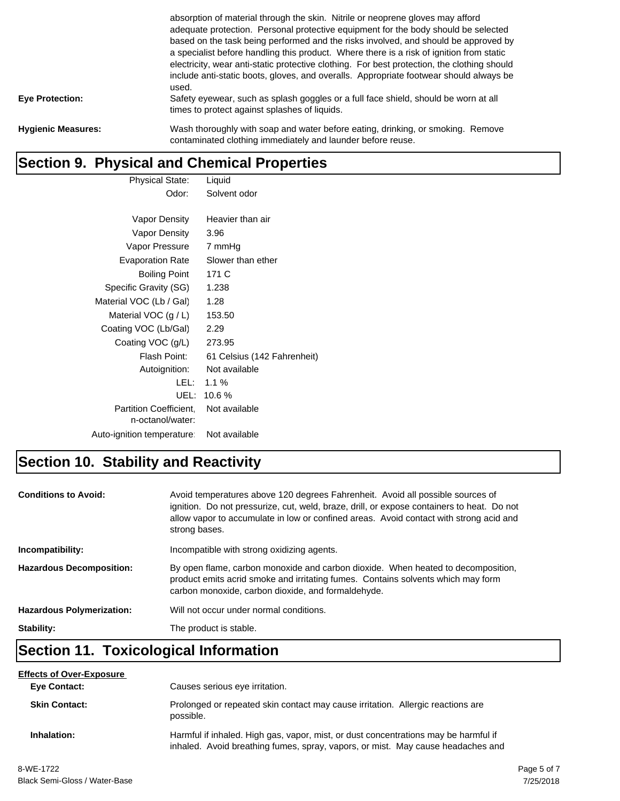|                           | absorption of material through the skin. Nitrile or neoprene gloves may afford<br>adequate protection. Personal protective equipment for the body should be selected<br>based on the task being performed and the risks involved, and should be approved by<br>a specialist before handling this product. Where there is a risk of ignition from static<br>electricity, wear anti-static protective clothing. For best protection, the clothing should<br>include anti-static boots, gloves, and overalls. Appropriate footwear should always be<br>used. |
|---------------------------|-----------------------------------------------------------------------------------------------------------------------------------------------------------------------------------------------------------------------------------------------------------------------------------------------------------------------------------------------------------------------------------------------------------------------------------------------------------------------------------------------------------------------------------------------------------|
| <b>Eye Protection:</b>    | Safety eyewear, such as splash goggles or a full face shield, should be worn at all<br>times to protect against splashes of liquids.                                                                                                                                                                                                                                                                                                                                                                                                                      |
| <b>Hygienic Measures:</b> | Wash thoroughly with soap and water before eating, drinking, or smoking. Remove<br>contaminated clothing immediately and launder before reuse.                                                                                                                                                                                                                                                                                                                                                                                                            |

#### **Section 9. Physical and Chemical Properties**

| Physical State:            | Liquid                      |
|----------------------------|-----------------------------|
| Odor:                      | Solvent odor                |
|                            |                             |
| Vapor Density              | Heavier than air            |
| Vapor Density              | 3.96                        |
| Vapor Pressure             | 7 mmHg                      |
| <b>Evaporation Rate</b>    | Slower than ether           |
| <b>Boiling Point</b>       | 171 C                       |
| Specific Gravity (SG)      | 1.238                       |
| Material VOC (Lb / Gal)    | 1.28                        |
| Material VOC $(g / L)$     | 153.50                      |
| Coating VOC (Lb/Gal)       | 2.29                        |
| Coating VOC (g/L)          | 273.95                      |
| Flash Point:               | 61 Celsius (142 Fahrenheit) |
| Autoignition:              | Not available               |
| LEL: I                     | $1.1\%$                     |
| UEL:                       | 10.6%                       |
| Partition Coefficient,     | Not available               |
| n-octanol/water:           |                             |
| Auto-ignition temperature: | Not available               |

## **Section 10. Stability and Reactivity**

| <b>Conditions to Avoid:</b>      | Avoid temperatures above 120 degrees Fahrenheit. Avoid all possible sources of<br>ignition. Do not pressurize, cut, weld, braze, drill, or expose containers to heat. Do not<br>allow vapor to accumulate in low or confined areas. Avoid contact with strong acid and<br>strong bases. |
|----------------------------------|-----------------------------------------------------------------------------------------------------------------------------------------------------------------------------------------------------------------------------------------------------------------------------------------|
| Incompatibility:                 | Incompatible with strong oxidizing agents.                                                                                                                                                                                                                                              |
| <b>Hazardous Decomposition:</b>  | By open flame, carbon monoxide and carbon dioxide. When heated to decomposition,<br>product emits acrid smoke and irritating fumes. Contains solvents which may form<br>carbon monoxide, carbon dioxide, and formaldehyde.                                                              |
| <b>Hazardous Polymerization:</b> | Will not occur under normal conditions.                                                                                                                                                                                                                                                 |
| Stability:                       | The product is stable.                                                                                                                                                                                                                                                                  |

### **Section 11. Toxicological Information**

| <b>Effects of Over-Exposure</b> |                                                                                                                                                                        |
|---------------------------------|------------------------------------------------------------------------------------------------------------------------------------------------------------------------|
| <b>Eye Contact:</b>             | Causes serious eye irritation.                                                                                                                                         |
| <b>Skin Contact:</b>            | Prolonged or repeated skin contact may cause irritation. Allergic reactions are<br>possible.                                                                           |
| Inhalation:                     | Harmful if inhaled. High gas, vapor, mist, or dust concentrations may be harmful if<br>inhaled. Avoid breathing fumes, spray, vapors, or mist. May cause headaches and |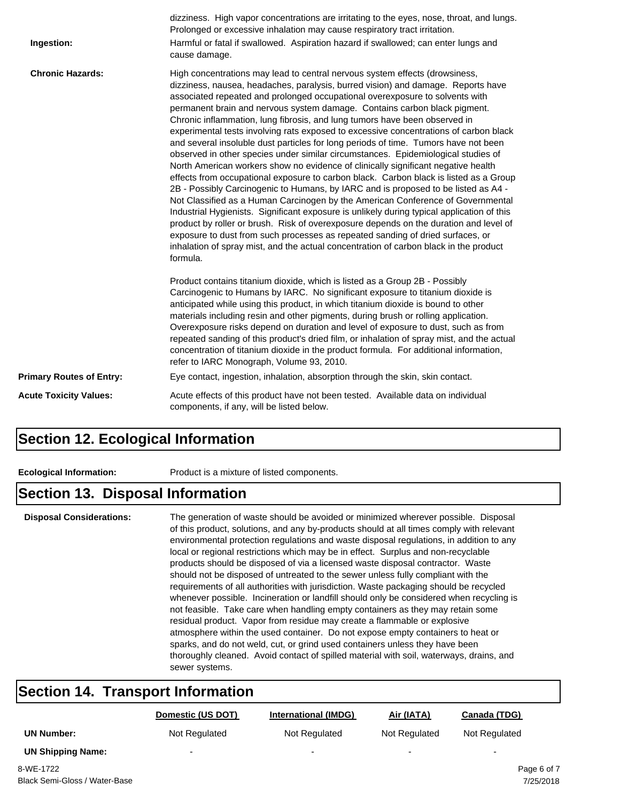| Ingestion:                      | dizziness. High vapor concentrations are irritating to the eyes, nose, throat, and lungs.<br>Prolonged or excessive inhalation may cause respiratory tract irritation.<br>Harmful or fatal if swallowed. Aspiration hazard if swallowed; can enter lungs and<br>cause damage.                                                                                                                                                                                                                                                                                                                                                                                                                                                                                                                                                                                                                                                                                                                                                                                                                                                                                                                                                                                                                                                                                                                                        |
|---------------------------------|----------------------------------------------------------------------------------------------------------------------------------------------------------------------------------------------------------------------------------------------------------------------------------------------------------------------------------------------------------------------------------------------------------------------------------------------------------------------------------------------------------------------------------------------------------------------------------------------------------------------------------------------------------------------------------------------------------------------------------------------------------------------------------------------------------------------------------------------------------------------------------------------------------------------------------------------------------------------------------------------------------------------------------------------------------------------------------------------------------------------------------------------------------------------------------------------------------------------------------------------------------------------------------------------------------------------------------------------------------------------------------------------------------------------|
| <b>Chronic Hazards:</b>         | High concentrations may lead to central nervous system effects (drowsiness,<br>dizziness, nausea, headaches, paralysis, burred vision) and damage. Reports have<br>associated repeated and prolonged occupational overexposure to solvents with<br>permanent brain and nervous system damage. Contains carbon black pigment.<br>Chronic inflammation, lung fibrosis, and lung tumors have been observed in<br>experimental tests involving rats exposed to excessive concentrations of carbon black<br>and several insoluble dust particles for long periods of time. Tumors have not been<br>observed in other species under similar circumstances. Epidemiological studies of<br>North American workers show no evidence of clinically significant negative health<br>effects from occupational exposure to carbon black. Carbon black is listed as a Group<br>2B - Possibly Carcinogenic to Humans, by IARC and is proposed to be listed as A4 -<br>Not Classified as a Human Carcinogen by the American Conference of Governmental<br>Industrial Hygienists. Significant exposure is unlikely during typical application of this<br>product by roller or brush. Risk of overexposure depends on the duration and level of<br>exposure to dust from such processes as repeated sanding of dried surfaces, or<br>inhalation of spray mist, and the actual concentration of carbon black in the product<br>formula. |
|                                 | Product contains titanium dioxide, which is listed as a Group 2B - Possibly<br>Carcinogenic to Humans by IARC. No significant exposure to titanium dioxide is<br>anticipated while using this product, in which titanium dioxide is bound to other<br>materials including resin and other pigments, during brush or rolling application.<br>Overexposure risks depend on duration and level of exposure to dust, such as from<br>repeated sanding of this product's dried film, or inhalation of spray mist, and the actual<br>concentration of titanium dioxide in the product formula. For additional information,<br>refer to IARC Monograph, Volume 93, 2010.                                                                                                                                                                                                                                                                                                                                                                                                                                                                                                                                                                                                                                                                                                                                                    |
| <b>Primary Routes of Entry:</b> | Eye contact, ingestion, inhalation, absorption through the skin, skin contact.                                                                                                                                                                                                                                                                                                                                                                                                                                                                                                                                                                                                                                                                                                                                                                                                                                                                                                                                                                                                                                                                                                                                                                                                                                                                                                                                       |
| <b>Acute Toxicity Values:</b>   | Acute effects of this product have not been tested. Available data on individual<br>components, if any, will be listed below.                                                                                                                                                                                                                                                                                                                                                                                                                                                                                                                                                                                                                                                                                                                                                                                                                                                                                                                                                                                                                                                                                                                                                                                                                                                                                        |

#### **Section 12. Ecological Information**

**Ecological Information:** Product is a mixture of listed components.

#### **Section 13. Disposal Information**

**Disposal Considerations:** The generation of waste should be avoided or minimized wherever possible. Disposal of this product, solutions, and any by-products should at all times comply with relevant environmental protection regulations and waste disposal regulations, in addition to any local or regional restrictions which may be in effect. Surplus and non-recyclable products should be disposed of via a licensed waste disposal contractor. Waste should not be disposed of untreated to the sewer unless fully compliant with the requirements of all authorities with jurisdiction. Waste packaging should be recycled whenever possible. Incineration or landfill should only be considered when recycling is not feasible. Take care when handling empty containers as they may retain some residual product. Vapor from residue may create a flammable or explosive atmosphere within the used container. Do not expose empty containers to heat or sparks, and do not weld, cut, or grind used containers unless they have been thoroughly cleaned. Avoid contact of spilled material with soil, waterways, drains, and sewer systems.

### **Section 14. Transport Information**

|                          | Domestic (US DOT) | <b>International (IMDG)</b> | Air (IATA)    | Canada (TDG)             |
|--------------------------|-------------------|-----------------------------|---------------|--------------------------|
| <b>UN Number:</b>        | Not Regulated     | Not Regulated               | Not Regulated | Not Regulated            |
| <b>UN Shipping Name:</b> | -                 | $\overline{\phantom{a}}$    | -             | $\overline{\phantom{0}}$ |
| $0.1117 - 1700$          |                   |                             |               | - - -<br>$\sim$          |